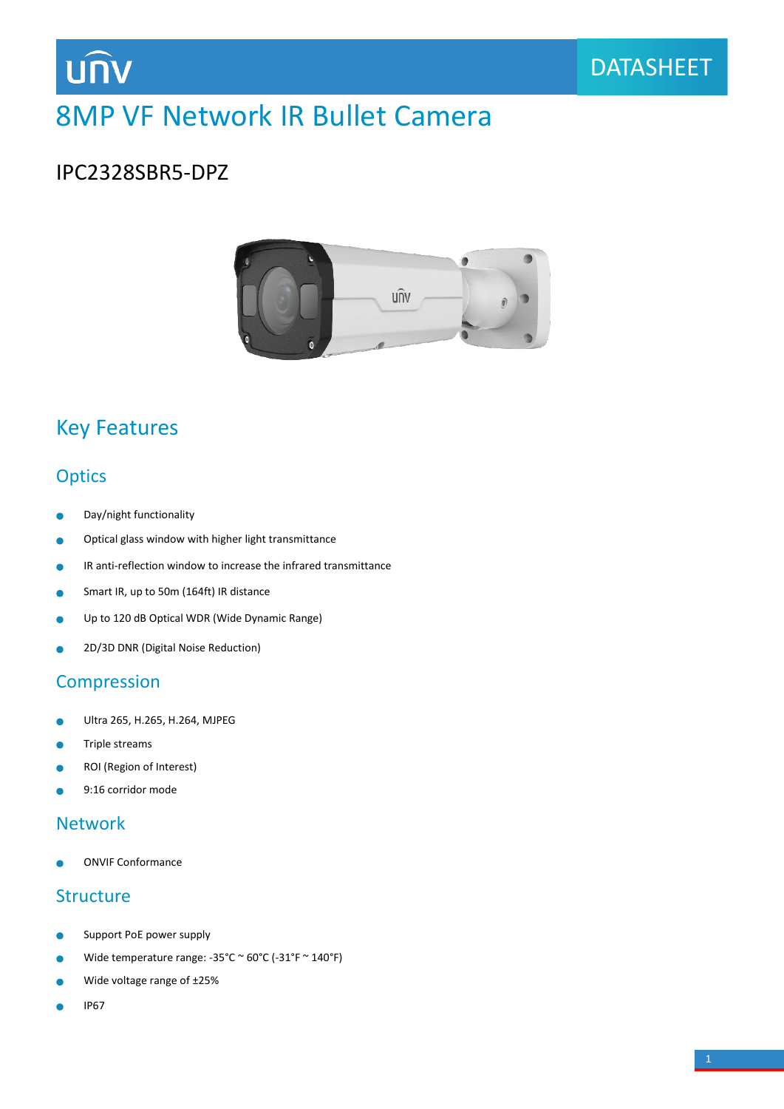# 8MP VF Network IR Bullet Camera

### IPC2328SBR5-DPZ

**UNV** 



## Key Features

### **Optics**

- Day/night functionality  $\bullet$
- Optical glass window with higher light transmittance  $\bullet$
- IR anti-reflection window to increase the infrared transmittance Ò
- Smart IR, up to 50m (164ft) IR distance  $\bullet$
- Up to 120 dB Optical WDR (Wide Dynamic Range) ٠
- 2D/3D DNR (Digital Noise Reduction)  $\bullet$

### **Compression**

- Ultra 265, H.265, H.264, MJPEG ò
- Triple streams  $\bullet$
- ROI (Region of Interest) ò
- 9:16 corridor mode Ä

### Network

ONVIF Conformance

### **Structure**

- Support PoE power supply
- Wide temperature range: -35°C ~ 60°C (-31°F ~ 140°F) ò
- Wide voltage range of ±25% C
- IP67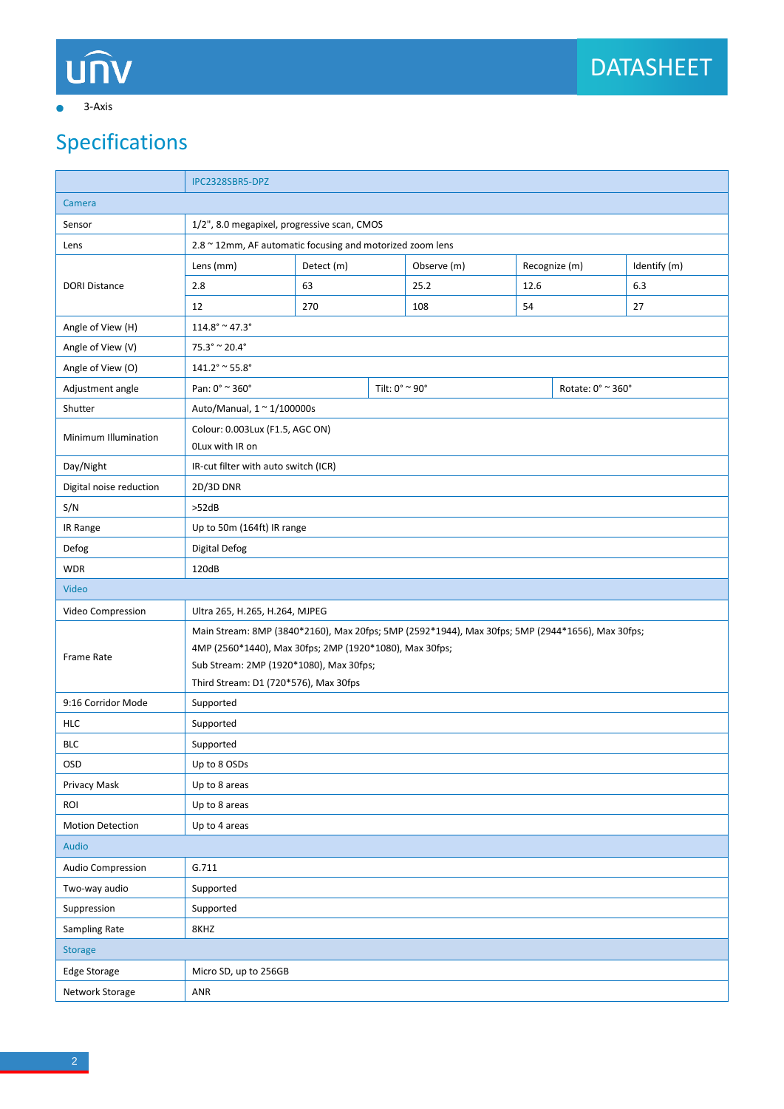# unv

### 3-Axis  $\bullet$

# Specifications

|                                   | IPC2328SBR5-DPZ                                                                                  |            |  |                                     |      |               |              |  |
|-----------------------------------|--------------------------------------------------------------------------------------------------|------------|--|-------------------------------------|------|---------------|--------------|--|
| Camera                            |                                                                                                  |            |  |                                     |      |               |              |  |
| Sensor                            | 1/2", 8.0 megapixel, progressive scan, CMOS                                                      |            |  |                                     |      |               |              |  |
| Lens                              | 2.8 ~ 12mm, AF automatic focusing and motorized zoom lens                                        |            |  |                                     |      |               |              |  |
|                                   | Lens (mm)                                                                                        | Detect (m) |  | Observe (m)                         |      | Recognize (m) | Identify (m) |  |
| <b>DORI Distance</b>              | 2.8                                                                                              | 63         |  | 25.2                                | 12.6 |               | 6.3          |  |
|                                   | 12                                                                                               | 270        |  | 108                                 | 54   |               | 27           |  |
| Angle of View (H)                 | $114.8^{\circ} \approx 47.3^{\circ}$                                                             |            |  |                                     |      |               |              |  |
| Angle of View (V)                 | $75.3^{\circ} \approx 20.4^{\circ}$                                                              |            |  |                                     |      |               |              |  |
| Angle of View (O)                 | $141.2^{\circ} \approx 55.8^{\circ}$                                                             |            |  |                                     |      |               |              |  |
| Adjustment angle                  | Pan: 0° ~ 360°                                                                                   |            |  | Tilt: 0° ~ 90°<br>Rotate: 0° ~ 360° |      |               |              |  |
| Shutter                           | Auto/Manual, 1 ~ 1/100000s                                                                       |            |  |                                     |      |               |              |  |
| Minimum Illumination              | Colour: 0.003Lux (F1.5, AGC ON)<br>OLux with IR on                                               |            |  |                                     |      |               |              |  |
| Day/Night                         | IR-cut filter with auto switch (ICR)                                                             |            |  |                                     |      |               |              |  |
| Digital noise reduction           | 2D/3D DNR                                                                                        |            |  |                                     |      |               |              |  |
| S/N                               | >52dB                                                                                            |            |  |                                     |      |               |              |  |
| IR Range                          | Up to 50m (164ft) IR range                                                                       |            |  |                                     |      |               |              |  |
| Defog                             | <b>Digital Defog</b>                                                                             |            |  |                                     |      |               |              |  |
| <b>WDR</b>                        | 120dB                                                                                            |            |  |                                     |      |               |              |  |
| Video                             |                                                                                                  |            |  |                                     |      |               |              |  |
| Video Compression                 | Ultra 265, H.265, H.264, MJPEG                                                                   |            |  |                                     |      |               |              |  |
| Frame Rate                        | Main Stream: 8MP (3840*2160), Max 20fps; 5MP (2592*1944), Max 30fps; 5MP (2944*1656), Max 30fps; |            |  |                                     |      |               |              |  |
|                                   | 4MP (2560*1440), Max 30fps; 2MP (1920*1080), Max 30fps;                                          |            |  |                                     |      |               |              |  |
|                                   | Sub Stream: 2MP (1920*1080), Max 30fps;                                                          |            |  |                                     |      |               |              |  |
|                                   | Third Stream: D1 (720*576), Max 30fps                                                            |            |  |                                     |      |               |              |  |
| 9:16 Corridor Mode                | Supported                                                                                        |            |  |                                     |      |               |              |  |
| <b>HLC</b>                        | Supported                                                                                        |            |  |                                     |      |               |              |  |
| <b>BLC</b>                        | Supported                                                                                        |            |  |                                     |      |               |              |  |
| OSD                               | Up to 8 OSDs                                                                                     |            |  |                                     |      |               |              |  |
| Privacy Mask<br>ROI               | Up to 8 areas                                                                                    |            |  |                                     |      |               |              |  |
|                                   | Up to 8 areas                                                                                    |            |  |                                     |      |               |              |  |
| Motion Detection<br>Up to 4 areas |                                                                                                  |            |  |                                     |      |               |              |  |
| Audio                             |                                                                                                  |            |  |                                     |      |               |              |  |
| Audio Compression                 | G.711                                                                                            |            |  |                                     |      |               |              |  |
| Two-way audio<br>Suppression      | Supported                                                                                        |            |  |                                     |      |               |              |  |
|                                   | Supported                                                                                        |            |  |                                     |      |               |              |  |
| <b>Sampling Rate</b><br>8KHZ      |                                                                                                  |            |  |                                     |      |               |              |  |
| <b>Storage</b>                    |                                                                                                  |            |  |                                     |      |               |              |  |
| Edge Storage                      | Micro SD, up to 256GB                                                                            |            |  |                                     |      |               |              |  |
| Network Storage                   | ANR                                                                                              |            |  |                                     |      |               |              |  |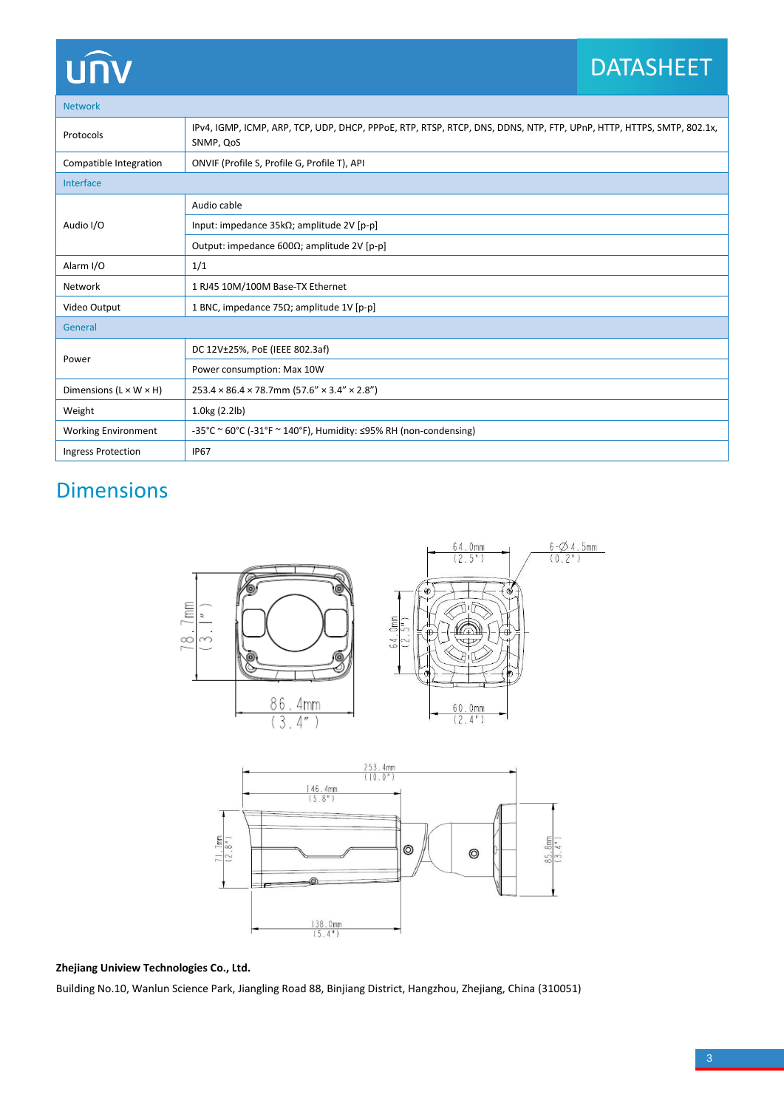## DATASHEET

Network

| 1122120111                         |                                                                                                                                   |  |  |  |
|------------------------------------|-----------------------------------------------------------------------------------------------------------------------------------|--|--|--|
| Protocols                          | IPv4, IGMP, ICMP, ARP, TCP, UDP, DHCP, PPPoE, RTP, RTSP, RTCP, DNS, DDNS, NTP, FTP, UPnP, HTTP, HTTPS, SMTP, 802.1x,<br>SNMP, QoS |  |  |  |
| Compatible Integration             | ONVIF (Profile S, Profile G, Profile T), API                                                                                      |  |  |  |
| Interface                          |                                                                                                                                   |  |  |  |
| Audio I/O                          | Audio cable                                                                                                                       |  |  |  |
|                                    | Input: impedance $35k\Omega$ ; amplitude 2V [p-p]                                                                                 |  |  |  |
|                                    | Output: impedance 600 $\Omega$ ; amplitude 2V [p-p]                                                                               |  |  |  |
| Alarm I/O                          | 1/1                                                                                                                               |  |  |  |
| Network                            | 1 RJ45 10M/100M Base-TX Ethernet                                                                                                  |  |  |  |
| Video Output                       | 1 BNC, impedance 75 $\Omega$ ; amplitude 1V [p-p]                                                                                 |  |  |  |
| General                            |                                                                                                                                   |  |  |  |
| Power                              | DC 12V±25%, PoE (IEEE 802.3af)                                                                                                    |  |  |  |
|                                    | Power consumption: Max 10W                                                                                                        |  |  |  |
| Dimensions $(L \times W \times H)$ | $253.4 \times 86.4 \times 78.7$ mm (57.6" × 3.4" × 2.8")                                                                          |  |  |  |
| Weight                             | 1.0kg (2.2lb)                                                                                                                     |  |  |  |
| <b>Working Environment</b>         | -35°C ~ 60°C (-31°F ~ 140°F), Humidity: $\leq$ 95% RH (non-condensing)                                                            |  |  |  |
| Ingress Protection                 | <b>IP67</b>                                                                                                                       |  |  |  |

# Dimensions





### **Zhejiang Uniview Technologies Co., Ltd.**

Building No.10, Wanlun Science Park, Jiangling Road 88, Binjiang District, Hangzhou, Zhejiang, China (310051)